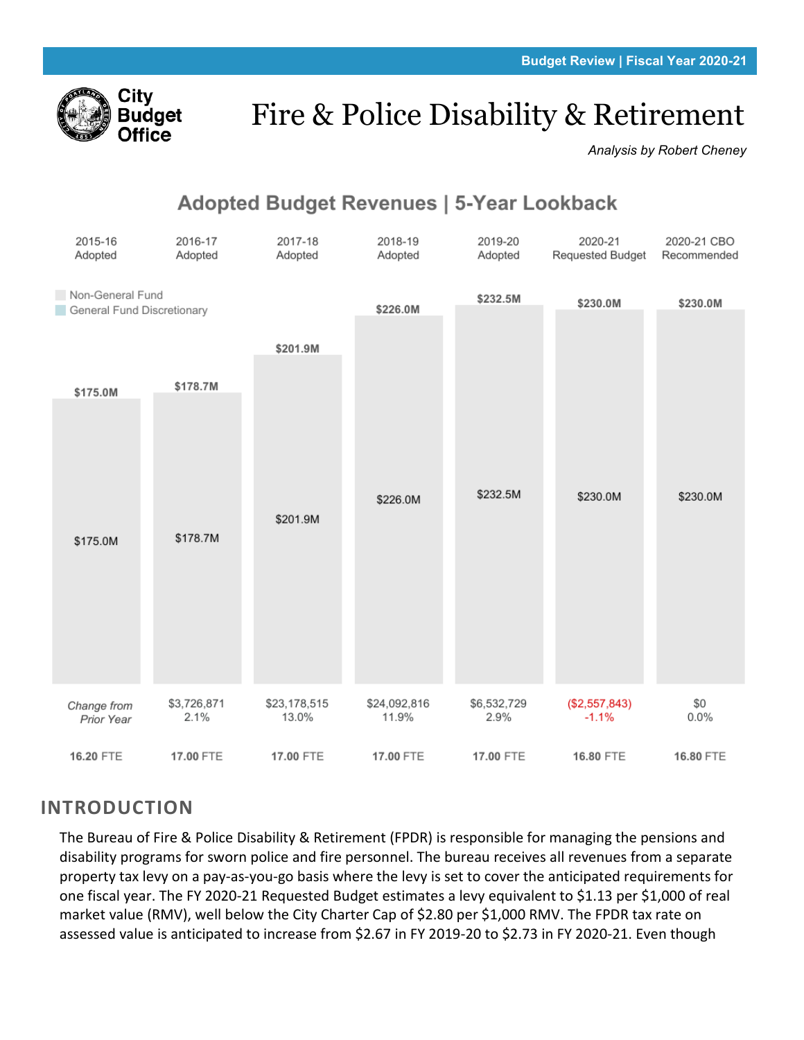

# Fire & Police Disability & Retirement

*Analysis by Robert Cheney*

## Adopted Budget Revenues | 5-Year Lookback

| 2015-16<br>Adopted                             | 2016-17<br>Adopted  | 2017-18<br>Adopted    | 2018-19<br>Adopted    | 2019-20<br>Adopted  | 2020-21<br>Requested Budget | 2020-21 CBO<br>Recommended |
|------------------------------------------------|---------------------|-----------------------|-----------------------|---------------------|-----------------------------|----------------------------|
| Non-General Fund<br>General Fund Discretionary |                     |                       | \$226.0M              | \$232.5M            | \$230.0M                    | \$230.0M                   |
|                                                |                     | \$201.9M              |                       |                     |                             |                            |
| \$175.0M                                       | \$178.7M            |                       |                       |                     |                             |                            |
|                                                |                     |                       |                       |                     |                             |                            |
|                                                |                     | \$201.9M              | \$226.0M              | \$232.5M            | \$230.0M                    | \$230.0M                   |
| \$175.0M                                       | \$178.7M            |                       |                       |                     |                             |                            |
|                                                |                     |                       |                       |                     |                             |                            |
|                                                |                     |                       |                       |                     |                             |                            |
|                                                |                     |                       |                       |                     |                             |                            |
| Change from<br>Prior Year                      | \$3,726,871<br>2.1% | \$23,178,515<br>13.0% | \$24,092,816<br>11.9% | \$6,532,729<br>2.9% | (\$2,557,843)<br>$-1.1%$    | \$0<br>0.0%                |
| 16.20 FTE                                      | 17.00 FTE           | 17.00 FTE             | 17.00 FTE             | 17.00 FTE           | 16.80 FTE                   | 16.80 FTE                  |

## **INTRODUCTION**

The Bureau of Fire & Police Disability & Retirement (FPDR) is responsible for managing the pensions and disability programs for sworn police and fire personnel. The bureau receives all revenues from a separate property tax levy on a pay-as-you-go basis where the levy is set to cover the anticipated requirements for one fiscal year. The FY 2020-21 Requested Budget estimates a levy equivalent to \$1.13 per \$1,000 of real market value (RMV), well below the City Charter Cap of \$2.80 per \$1,000 RMV. The FPDR tax rate on assessed value is anticipated to increase from \$2.67 in FY 2019-20 to \$2.73 in FY 2020-21. Even though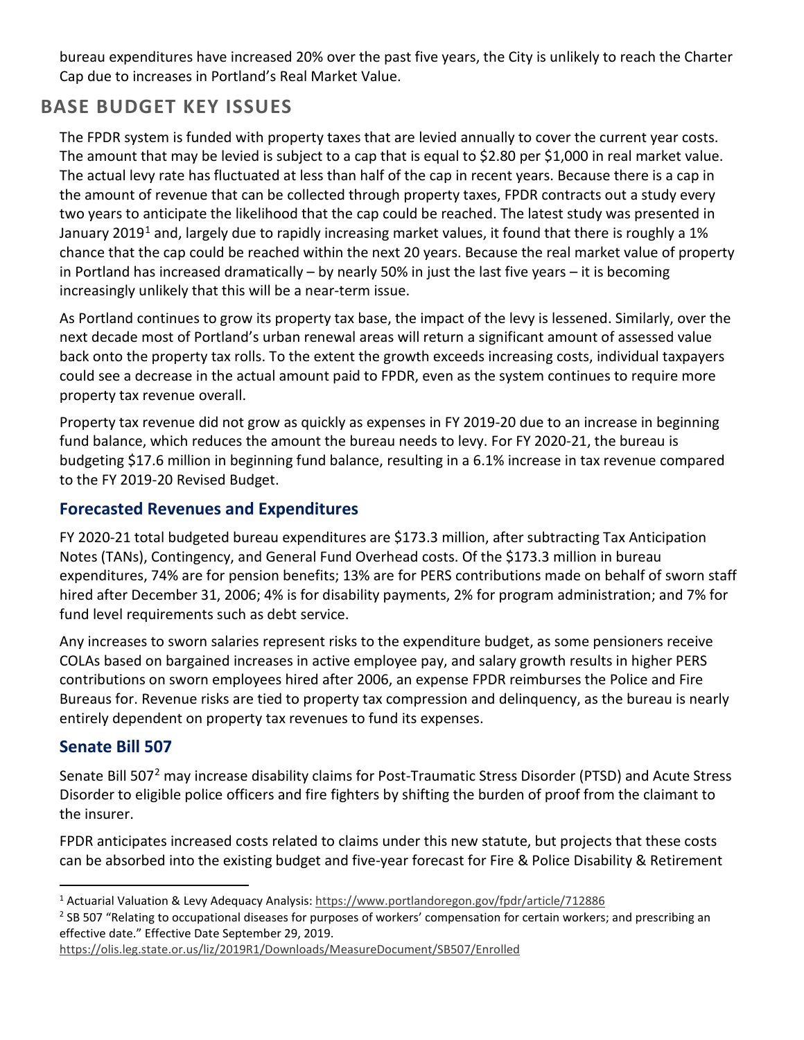bureau expenditures have increased 20% over the past five years, the City is unlikely to reach the Charter Cap due to increases in Portland's Real Market Value.

## **BASE BUDGET KEY ISSUES**

The FPDR system is funded with property taxes that are levied annually to cover the current year costs. The amount that may be levied is subject to a cap that is equal to \$2.80 per \$1,000 in real market value. The actual levy rate has fluctuated at less than half of the cap in recent years. Because there is a cap in the amount of revenue that can be collected through property taxes, FPDR contracts out a study every two years to anticipate the likelihood that the cap could be reached. The latest study was presented in January 20[1](#page-1-0)9<sup>1</sup> and, largely due to rapidly increasing market values, it found that there is roughly a 1% chance that the cap could be reached within the next 20 years. Because the real market value of property in Portland has increased dramatically – by nearly 50% in just the last five years – it is becoming increasingly unlikely that this will be a near-term issue.

As Portland continues to grow its property tax base, the impact of the levy is lessened. Similarly, over the next decade most of Portland's urban renewal areas will return a significant amount of assessed value back onto the property tax rolls. To the extent the growth exceeds increasing costs, individual taxpayers could see a decrease in the actual amount paid to FPDR, even as the system continues to require more property tax revenue overall.

Property tax revenue did not grow as quickly as expenses in FY 2019-20 due to an increase in beginning fund balance, which reduces the amount the bureau needs to levy. For FY 2020-21, the bureau is budgeting \$17.6 million in beginning fund balance, resulting in a 6.1% increase in tax revenue compared to the FY 2019-20 Revised Budget.

#### **Forecasted Revenues and Expenditures**

FY 2020-21 total budgeted bureau expenditures are \$173.3 million, after subtracting Tax Anticipation Notes (TANs), Contingency, and General Fund Overhead costs. Of the \$173.3 million in bureau expenditures, 74% are for pension benefits; 13% are for PERS contributions made on behalf of sworn staff hired after December 31, 2006; 4% is for disability payments, 2% for program administration; and 7% for fund level requirements such as debt service.

Any increases to sworn salaries represent risks to the expenditure budget, as some pensioners receive COLAs based on bargained increases in active employee pay, and salary growth results in higher PERS contributions on sworn employees hired after 2006, an expense FPDR reimburses the Police and Fire Bureaus for. Revenue risks are tied to property tax compression and delinquency, as the bureau is nearly entirely dependent on property tax revenues to fund its expenses.

#### **Senate Bill 507**

Senate Bill 507<sup>[2](#page-1-1)</sup> may increase disability claims for Post-Traumatic Stress Disorder (PTSD) and Acute Stress Disorder to eligible police officers and fire fighters by shifting the burden of proof from the claimant to the insurer.

FPDR anticipates increased costs related to claims under this new statute, but projects that these costs can be absorbed into the existing budget and five-year forecast for Fire & Police Disability & Retirement

<https://olis.leg.state.or.us/liz/2019R1/Downloads/MeasureDocument/SB507/Enrolled>

<span id="page-1-0"></span><sup>1</sup> Actuarial Valuation & Levy Adequacy Analysis[: https://www.portlandoregon.gov/fpdr/article/712886](https://www.portlandoregon.gov/fpdr/article/712886)

<span id="page-1-1"></span><sup>&</sup>lt;sup>2</sup> SB 507 "Relating to occupational diseases for purposes of workers' compensation for certain workers; and prescribing an effective date." Effective Date September 29, 2019.